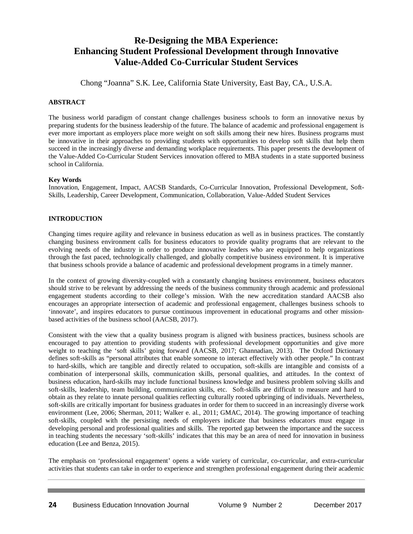# **Re-Designing the MBA Experience: Enhancing Student Professional Development through Innovative Value-Added Co-Curricular Student Services**

Chong "Joanna" S.K. Lee, California State University, East Bay, CA., U.S.A.

# **ABSTRACT**

The business world paradigm of constant change challenges business schools to form an innovative nexus by preparing students for the business leadership of the future. The balance of academic and professional engagement is ever more important as employers place more weight on soft skills among their new hires. Business programs must be innovative in their approaches to providing students with opportunities to develop soft skills that help them succeed in the increasingly diverse and demanding workplace requirements. This paper presents the development of the Value-Added Co-Curricular Student Services innovation offered to MBA students in a state supported business school in California.

## **Key Words**

Innovation, Engagement, Impact, AACSB Standards, Co-Curricular Innovation, Professional Development, Soft-Skills, Leadership, Career Development, Communication, Collaboration, Value-Added Student Services

# **INTRODUCTION**

Changing times require agility and relevance in business education as well as in business practices. The constantly changing business environment calls for business educators to provide quality programs that are relevant to the evolving needs of the industry in order to produce innovative leaders who are equipped to help organizations through the fast paced, technologically challenged, and globally competitive business environment. It is imperative that business schools provide a balance of academic and professional development programs in a timely manner.

In the context of growing diversity coupled with a constantly changing business environment, business educators should strive to be relevant by addressing the needs of the business community through academic and professional engagement students according to their college's mission. With the new accreditation standard AACSB also encourages an appropriate intersection of academic and professional engagement, challenges business schools to 'innovate', and inspires educators to pursue continuous improvement in educational programs and other missionbased activities of the business school (AACSB, 2017).

Consistent with the view that a quality business program is aligned with business practices, business schools are encouraged to pay attention to providing students with professional development opportunities and give more weight to teaching the 'soft skills' going forward (AACSB, 2017; Ghannadian, 2013). The Oxford Dictionary defines soft-skills as "personal attributes that enable someone to interact effectively with other people." In contrast to hard-skills, which are tangible and directly related to occupation, soft-skills are intangible and consists of a combination of interpersonal skills, communication skills, personal qualities, and attitudes. In the context of business education, hard-skills may include functional business knowledge and business problem solving skills and soft-skills, leadership, team building, communication skills, etc. Soft-skills are difficult to measure and hard to obtain as they relate to innate personal qualities reflecting culturally rooted upbringing of individuals. Nevertheless, soft-skills are critically important for business graduates in order for them to succeed in an increasingly diverse work environment (Lee, 2006; Sherman, 2011; Walker e. al., 2011; GMAC, 2014). The growing importance of teaching soft-skills, coupled with the persisting needs of employers indicate that business educators must engage in developing personal and professional qualities and skills. The reported gap between the importance and the success in teaching students the necessary 'soft-skills' indicates that this may be an area of need for innovation in business education (Lee and Benza, 2015).

The emphasis on 'professional engagement' opens a wide variety of curricular, co-curricular, and extra-curricular activities that students can take in order to experience and strengthen professional engagement during their academic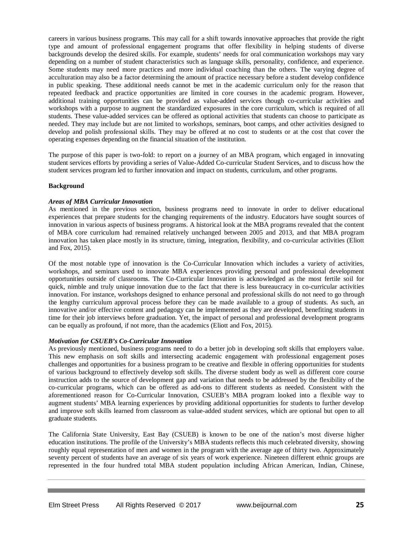careers in various business programs. This may call for a shift towards innovative approaches that provide the right type and amount of professional engagement programs that offer flexibility in helping students of diverse backgrounds develop the desired skills. For example, students' needs for oral communication workshops may vary depending on a number of student characteristics such as language skills, personality, confidence, and experience. Some students may need more practices and more individual coaching than the others. The varying degree of acculturation may also be a factor determining the amount of practice necessary before a student develop confidence in public speaking. These additional needs cannot be met in the academic curriculum only for the reason that repeated feedback and practice opportunities are limited in core courses in the academic program. However, additional training opportunities can be provided as value-added services though co-curricular activities and workshops with a purpose to augment the standardized exposures in the core curriculum, which is required of all students. These value-added services can be offered as optional activities that students can choose to participate as needed. They may include but are not limited to workshops, seminars, boot camps, and other activities designed to develop and polish professional skills. They may be offered at no cost to students or at the cost that cover the operating expenses depending on the financial situation of the institution.

The purpose of this paper is two-fold: to report on a journey of an MBA program, which engaged in innovating student services efforts by providing a series of Value-Added Co-curricular Student Services, and to discuss how the student services program led to further innovation and impact on students, curriculum, and other programs.

## **Background**

#### *Areas of MBA Curricular Innovation*

As mentioned in the previous section, business programs need to innovate in order to deliver educational experiences that prepare students for the changing requirements of the industry. Educators have sought sources of innovation in various aspects of business programs. A historical look at the MBA programs revealed that the content of MBA core curriculum had remained relatively unchanged between 2005 and 2013, and that MBA program innovation has taken place mostly in its structure, timing, integration, flexibility, and co-curricular activities (Eliott and Fox, 2015).

Of the most notable type of innovation is the Co-Curricular Innovation which includes a variety of activities, workshops, and seminars used to innovate MBA experiences providing personal and professional development opportunities outside of classrooms. The Co-Curricular Innovation is acknowledged as the most fertile soil for quick, nimble and truly unique innovation due to the fact that there is less bureaucracy in co-curricular activities innovation. For instance, workshops designed to enhance personal and professional skills do not need to go through the lengthy curriculum approval process before they can be made available to a group of students. As such, an innovative and/or effective content and pedagogy can be implemented as they are developed, benefiting students in time for their job interviews before graduation. Yet, the impact of personal and professional development programs can be equally as profound, if not more, than the academics (Eliott and Fox, 2015).

## *Motivation for CSUEB's Co-Curricular Innovation*

As previously mentioned, business programs need to do a better job in developing soft skills that employers value. This new emphasis on soft skills and intersecting academic engagement with professional engagement poses challenges and opportunities for a business program to be creative and flexible in offering opportunities for students of various background to effectively develop soft skills. The diverse student body as well as different core course instruction adds to the source of development gap and variation that needs to be addressed by the flexibility of the co-curricular programs, which can be offered as add-ons to different students as needed. Consistent with the aforementioned reason for Co-Curricular Innovation, CSUEB's MBA program looked into a flexible way to augment students' MBA learning experiences by providing additional opportunities for students to further develop and improve soft skills learned from classroom as value-added student services, which are optional but open to all graduate students.

The California State University, East Bay (CSUEB) is known to be one of the nation's most diverse higher education institutions. The profile of the University's MBA students reflects this much celebrated diversity, showing roughly equal representation of men and women in the program with the average age of thirty two. Approximately seventy percent of students have an average of six years of work experience. Nineteen different ethnic groups are represented in the four hundred total MBA student population including African American, Indian, Chinese,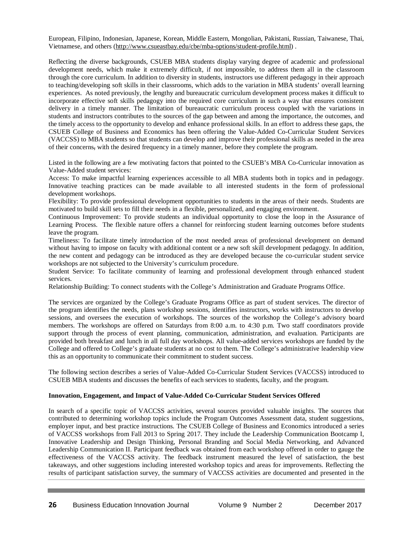European, Filipino, Indonesian, Japanese, Korean, Middle Eastern, Mongolian, Pakistani, Russian, Taiwanese, Thai, Vietnamese, and others [\(http://www.csueastbay.edu/cbe/mba-options/student-profile.html\)](http://www.csueastbay.edu/cbe/mba-options/student-profile.html) .

Reflecting the diverse backgrounds, CSUEB MBA students display varying degree of academic and professional development needs, which make it extremely difficult, if not impossible, to address them all in the classroom through the core curriculum. In addition to diversity in students, instructors use different pedagogy in their approach to teaching/developing soft skills in their classrooms, which adds to the variation in MBA students' overall learning experiences. As noted previously, the lengthy and bureaucratic curriculum development process makes it difficult to incorporate effective soft skills pedagogy into the required core curriculum in such a way that ensures consistent delivery in a timely manner. The limitation of bureaucratic curriculum process coupled with the variations in students and instructors contributes to the sources of the gap between and among the importance, the outcomes, and the timely access to the opportunity to develop and enhance professional skills. In an effort to address these gaps, the CSUEB College of Business and Economics has been offering the Value-Added Co-Curricular Student Services (VACCSS) to MBA students so that students can develop and improve their professional skills as needed in the area of their concerns, with the desired frequency in a timely manner, before they complete the program.

Listed in the following are a few motivating factors that pointed to the CSUEB's MBA Co-Curricular innovation as Value-Added student services:

Access: To make impactful learning experiences accessible to all MBA students both in topics and in pedagogy. Innovative teaching practices can be made available to all interested students in the form of professional development workshops.

Flexibility: To provide professional development opportunities to students in the areas of their needs. Students are motivated to build skill sets to fill their needs in a flexible, personalized, and engaging environment.

Continuous Improvement: To provide students an individual opportunity to close the loop in the Assurance of Learning Process. The flexible nature offers a channel for reinforcing student learning outcomes before students leave the program.

Timeliness: To facilitate timely introduction of the most needed areas of professional development on demand without having to impose on faculty with additional content or a new soft skill development pedagogy. In addition, the new content and pedagogy can be introduced as they are developed because the co-curricular student service workshops are not subjected to the University's curriculum procedure.

Student Service: To facilitate community of learning and professional development through enhanced student services.

Relationship Building: To connect students with the College's Administration and Graduate Programs Office.

The services are organized by the College's Graduate Programs Office as part of student services. The director of the program identifies the needs, plans workshop sessions, identifies instructors, works with instructors to develop sessions, and oversees the execution of workshops. The sources of the workshop the College's advisory board members. The workshops are offered on Saturdays from 8:00 a.m. to 4:30 p.m. Two staff coordinators provide support through the process of event planning, communication, administration, and evaluation. Participants are provided both breakfast and lunch in all full day workshops. All value-added services workshops are funded by the College and offered to College's graduate students at no cost to them. The College's administrative leadership view this as an opportunity to communicate their commitment to student success.

The following section describes a series of Value-Added Co-Curricular Student Services (VACCSS) introduced to CSUEB MBA students and discusses the benefits of each services to students, faculty, and the program.

## **Innovation, Engagement, and Impact of Value-Added Co-Curricular Student Services Offered**

In search of a specific topic of VACCSS activities, several sources provided valuable insights. The sources that contributed to determining workshop topics include the Program Outcomes Assessment data, student suggestions, employer input, and best practice instructions. The CSUEB College of Business and Economics introduced a series of VACCSS workshops from Fall 2013 to Spring 2017. They include the Leadership Communication Bootcamp I, Innovative Leadership and Design Thinking, Personal Branding and Social Media Networking, and Advanced Leadership Communication II. Participant feedback was obtained from each workshop offered in order to gauge the effectiveness of the VACCSS activity. The feedback instrument measured the level of satisfaction, the best takeaways, and other suggestions including interested workshop topics and areas for improvements. Reflecting the results of participant satisfaction survey, the summary of VACCSS activities are documented and presented in the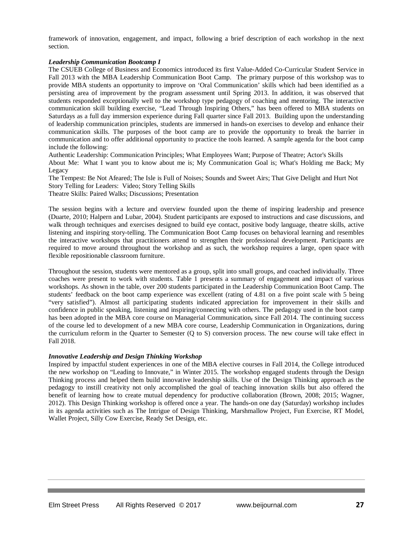framework of innovation, engagement, and impact, following a brief description of each workshop in the next section.

#### *Leadership Communication Bootcamp I*

The CSUEB College of Business and Economics introduced its first Value-Added Co-Curricular Student Service in Fall 2013 with the MBA Leadership Communication Boot Camp. The primary purpose of this workshop was to provide MBA students an opportunity to improve on 'Oral Communication' skills which had been identified as a persisting area of improvement by the program assessment until Spring 2013. In addition, it was observed that students responded exceptionally well to the workshop type pedagogy of coaching and mentoring. The interactive communication skill building exercise, "Lead Through Inspiring Others," has been offered to MBA students on Saturdays as a full day immersion experience during Fall quarter since Fall 2013. Building upon the understanding of leadership communication principles, students are immersed in hands-on exercises to develop and enhance their communication skills. The purposes of the boot camp are to provide the opportunity to break the barrier in communication and to offer additional opportunity to practice the tools learned. A sample agenda for the boot camp include the following:

Authentic Leadership: Communication Principles; What Employees Want; Purpose of Theatre; Actor's Skills About Me: What I want you to know about me is; My Communication Goal is; What's Holding me Back; My Legacy

The Tempest: Be Not Afeared; The Isle is Full of Noises; Sounds and Sweet Airs; That Give Delight and Hurt Not Story Telling for Leaders: Video; Story Telling Skills Theatre Skills: Paired Walks; Discussions; Presentation

The session begins with a lecture and overview founded upon the theme of inspiring leadership and presence (Duarte, 2010; Halpern and Lubar, 2004). Student participants are exposed to instructions and case discussions, and walk through techniques and exercises designed to build eye contact, positive body language, theatre skills, active listening and inspiring story-telling. The Communication Boot Camp focuses on behavioral learning and resembles the interactive workshops that practitioners attend to strengthen their professional development. Participants are required to move around throughout the workshop and as such, the workshop requires a large, open space with flexible repositionable classroom furniture.

Throughout the session, students were mentored as a group, split into small groups, and coached individually. Three coaches were present to work with students. Table 1 presents a summary of engagement and impact of various workshops. As shown in the table, over 200 students participated in the Leadership Communication Boot Camp. The students' feedback on the boot camp experience was excellent (rating of 4.81 on a five point scale with 5 being "very satisfied"). Almost all participating students indicated appreciation for improvement in their skills and confidence in public speaking, listening and inspiring/connecting with others. The pedagogy used in the boot camp has been adopted in the MBA core course on Managerial Communication, since Fall 2014. The continuing success of the course led to development of a new MBA core course, Leadership Communication in Organizations, during the curriculum reform in the Quarter to Semester (Q to S) conversion process. The new course will take effect in Fall 2018.

## *Innovative Leadership and Design Thinking Workshop*

Inspired by impactful student experiences in one of the MBA elective courses in Fall 2014, the College introduced the new workshop on "Leading to Innovate," in Winter 2015. The workshop engaged students through the Design Thinking process and helped them build innovative leadership skills. Use of the Design Thinking approach as the pedagogy to instill creativity not only accomplished the goal of teaching innovation skills but also offered the benefit of learning how to create mutual dependency for productive collaboration (Brown, 2008; 2015; Wagner, 2012). This Design Thinking workshop is offered once a year. The hands-on one day (Saturday) workshop includes in its agenda activities such as The Intrigue of Design Thinking, Marshmallow Project, Fun Exercise, RT Model, Wallet Project, Silly Cow Exercise, Ready Set Design, etc.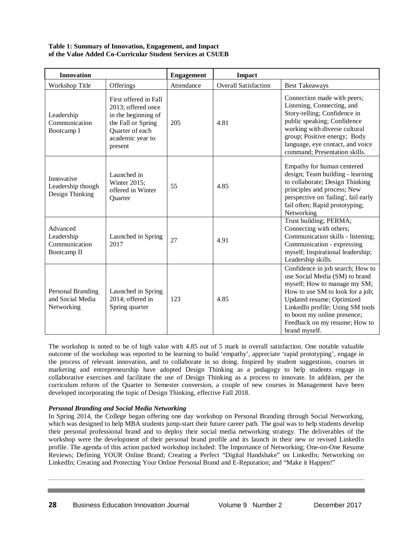# **Table 1: Summary of Innovation, Engagement, and Impact of the Value Added Co-Curricular Student Services at CSUEB**

| <b>Innovation</b>                                      |                                                                                                                                            | <b>Engagement</b> | <b>Impact</b>               |                                                                                                                                                                                                                                                                                           |
|--------------------------------------------------------|--------------------------------------------------------------------------------------------------------------------------------------------|-------------------|-----------------------------|-------------------------------------------------------------------------------------------------------------------------------------------------------------------------------------------------------------------------------------------------------------------------------------------|
| Workshop Title                                         | Offerings                                                                                                                                  | Attendance        | <b>Overall Satisfaction</b> | <b>Best Takeaways</b>                                                                                                                                                                                                                                                                     |
| Leadership<br>Communication<br>Bootcamp I              | First offered in Fall<br>2013; offered once<br>in the beginning of<br>the Fall or Spring<br>Quarter of each<br>academic year to<br>present | 205               | 4.81                        | Connection made with peers;<br>Listening, Connecting, and<br>Story-telling; Confidence in<br>public speaking; Confidence<br>working with diverse cultural<br>group; Positive energy; Body<br>language, eye contact, and voice<br>command; Presentation skills.                            |
| Innovative<br>Leadership though<br>Design Thinking     | Launched in<br>Winter 2015;<br>offered in Winter<br>Quarter                                                                                | 55                | 4.85                        | Empathy for human centered<br>design; Team building - learning<br>to collaborate; Design Thinking<br>principles and process; New<br>perspective on 'failing', fail early<br>fail often; Rapid prototyping;<br>Networking                                                                  |
| Advanced<br>Leadership<br>Communication<br>Bootcamp II | Launched in Spring<br>2017                                                                                                                 | 27                | 4.91                        | Trust building; PERMA;<br>Connecting with others;<br>Communication skills - listening;<br>Communication - expressing<br>myself; Inspirational leadership;<br>Leadership skills.                                                                                                           |
| Personal Branding<br>and Social Media<br>Networking    | Launched in Spring<br>2014; offered in<br>Spring quarter                                                                                   | 123               | 4.85                        | Confidence in job search; How to<br>use Social Media (SM) to brand<br>myself; How to manage my SM;<br>How to use SM to look for a job;<br>Updated resume; Optimized<br>LinkedIn profile; Using SM tools<br>to boost my online presence;<br>Feedback on my resume; How to<br>brand myself. |

The workshop is noted to be of high value with 4.85 out of 5 mark in overall satisfaction. One notable valuable outcome of the workshop was reported to be learning to build 'empathy', appreciate 'rapid prototyping', engage in the process of relevant innovation, and to collaborate in so doing. Inspired by student suggestions, courses in marketing and entrepreneurship have adopted Design Thinking as a pedagogy to help students engage in collaborative exercises and facilitate the use of Design Thinking as a process to innovate. In addition, per the curriculum reform of the Quarter to Semester conversion, a couple of new courses in Management have been developed incorporating the topic of Design Thinking, effective Fall 2018.

# *Personal Branding and Social Media Networking*

In Spring 2014, the College began offering one day workshop on Personal Branding through Social Networking, which was designed to help MBA students jump-start their future career path. The goal was to help students develop their personal professional brand and to deploy their social media networking strategy. The deliverables of the workshop were the development of their personal brand profile and its launch in their new or revised LinkedIn profile. The agenda of this action packed workshop included: The Importance of Networking; One-on-One Resume Reviews; Defining YOUR Online Brand; Creating a Perfect "Digital Handshake" on LinkedIn; Networking on LinkedIn; Creating and Protecting Your Online Personal Brand and E-Reputation; and "Make it Happen!"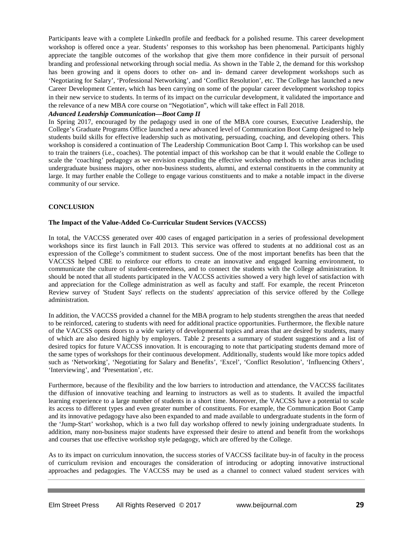Participants leave with a complete LinkedIn profile and feedback for a polished resume. This career development workshop is offered once a year. Students' responses to this workshop has been phenomenal. Participants highly appreciate the tangible outcomes of the workshop that give them more confidence in their pursuit of personal branding and professional networking through social media. As shown in the Table 2, the demand for this workshop has been growing and it opens doors to other on- and in- demand career development workshops such as 'Negotiating for Salary', 'Professional Networking', and 'Conflict Resolution', etc. The College has launched a new Career Development Center, which has been carrying on some of the popular career development workshop topics in their new service to students. In terms of its impact on the curricular development, it validated the importance and the relevance of a new MBA core course on "Negotiation", which will take effect in Fall 2018.

### *Advanced Leadership Communication—Boot Camp II*

In Spring 2017, encouraged by the pedagogy used in one of the MBA core courses, Executive Leadership, the College's Graduate Programs Office launched a new advanced level of Communication Boot Camp designed to help students build skills for effective leadership such as motivating, persuading, coaching, and developing others. This workshop is considered a continuation of The Leadership Communication Boot Camp I. This workshop can be used to train the trainers (i.e., coaches). The potential impact of this workshop can be that it would enable the College to scale the 'coaching' pedagogy as we envision expanding the effective workshop methods to other areas including undergraduate business majors, other non-business students, alumni, and external constituents in the community at large. It may further enable the College to engage various constituents and to make a notable impact in the diverse community of our service.

#### **CONCLUSION**

#### **The Impact of the Value-Added Co-Curricular Student Services (VACCSS)**

In total, the VACCSS generated over 400 cases of engaged participation in a series of professional development workshops since its first launch in Fall 2013. This service was offered to students at no additional cost as an expression of the College's commitment to student success. One of the most important benefits has been that the VACCSS helped CBE to reinforce our efforts to create an innovative and engaged learning environment, to communicate the culture of student-centeredness, and to connect the students with the College administration. It should be noted that all students participated in the VACCSS activities showed a very high level of satisfaction with and appreciation for the College administration as well as faculty and staff. For example, the recent Princeton Review survey of 'Student Says' reflects on the students' appreciation of this service offered by the College administration.

In addition, the VACCSS provided a channel for the MBA program to help students strengthen the areas that needed to be reinforced, catering to students with need for additional practice opportunities. Furthermore, the flexible nature of the VACCSS opens doors to a wide variety of developmental topics and areas that are desired by students, many of which are also desired highly by employers. Table 2 presents a summary of student suggestions and a list of desired topics for future VACCSS innovation. It is encouraging to note that participating students demand more of the same types of workshops for their continuous development. Additionally, students would like more topics added such as 'Networking', 'Negotiating for Salary and Benefits', 'Excel', 'Conflict Resolution', 'Influencing Others', 'Interviewing', and 'Presentation', etc.

Furthermore, because of the flexibility and the low barriers to introduction and attendance, the VACCSS facilitates the diffusion of innovative teaching and learning to instructors as well as to students. It availed the impactful learning experience to a large number of students in a short time. Moreover, the VACCSS have a potential to scale its access to different types and even greater number of constituents. For example, the Communication Boot Camp and its innovative pedagogy have also been expanded to and made available to undergraduate students in the form of the 'Jump-Start' workshop, which is a two full day workshop offered to newly joining undergraduate students. In addition, many non-business major students have expressed their desire to attend and benefit from the workshops and courses that use effective workshop style pedagogy, which are offered by the College.

As to its impact on curriculum innovation, the success stories of VACCSS facilitate buy-in of faculty in the process of curriculum revision and encourages the consideration of introducing or adopting innovative instructional approaches and pedagogies. The VACCSS may be used as a channel to connect valued student services with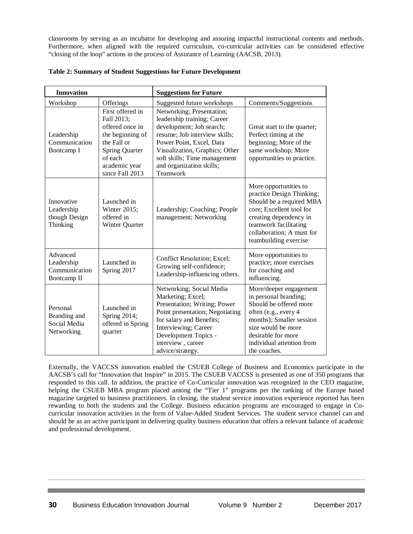classrooms by serving as an incubator for developing and assuring impactful instructional contents and methods. Furthermore, when aligned with the required curriculum, co-curricular activities can be considered effective "closing of the loop" actions in the process of Assurance of Learning (AACSB, 2013).

| <b>Innovation</b>                                      |                                                                                                                                                              | <b>Suggestions for Future</b>                                                                                                                                                                                                                               |                                                                                                                                                                                                                        |  |
|--------------------------------------------------------|--------------------------------------------------------------------------------------------------------------------------------------------------------------|-------------------------------------------------------------------------------------------------------------------------------------------------------------------------------------------------------------------------------------------------------------|------------------------------------------------------------------------------------------------------------------------------------------------------------------------------------------------------------------------|--|
| Workshop                                               | Offerings                                                                                                                                                    | Suggested future workshops                                                                                                                                                                                                                                  | Comments/Suggestions                                                                                                                                                                                                   |  |
| Leadership<br>Communication<br>Bootcamp I              | First offered in<br>Fall 2013;<br>offered once in<br>the beginning of<br>the Fall or<br><b>Spring Quarter</b><br>of each<br>academic year<br>since Fall 2013 | Networking; Presentation;<br>leadership training; Career<br>development; Job search;<br>resume; Job interview skills;<br>Power Point, Excel, Data<br>Visualization, Graphics; Other<br>soft skills; Time management<br>and organization skills;<br>Teamwork | Great start to the quarter;<br>Perfect timing at the<br>beginning; More of the<br>same workshop; More<br>opportunities to practice.                                                                                    |  |
| Innovative<br>Leadership<br>though Design<br>Thinking  | Launched in<br>Winter 2015;<br>offered in<br>Winter Quarter                                                                                                  | Leadership; Coaching; People<br>management; Networking                                                                                                                                                                                                      | More opportunities to<br>practice Design Thinking;<br>Should be a required MBA<br>core; Excellent tool for<br>creating dependency in<br>teamwork facilitating<br>collaboration; A must for<br>teambuilding exercise    |  |
| Advanced<br>Leadership<br>Communication<br>Bootcamp II | Launched in<br>Spring 2017                                                                                                                                   | Conflict Resolution; Excel;<br>Growing self-confidence;<br>Leadership-influencing others.                                                                                                                                                                   | More opportunities to<br>practice; more exercises<br>for coaching and<br>influencing.                                                                                                                                  |  |
| Personal<br>Branding and<br>Social Media<br>Networking | Launched in<br>Spring 2014;<br>offered in Spring<br>quarter                                                                                                  | Networking; Social Media<br>Marketing; Excel;<br>Presentation; Writing; Power<br>Point presentation; Negotiating<br>for salary and Benefits;<br>Interviewing; Career<br>Development Topics -<br>interview, career<br>advice/strategy.                       | More/deeper engagement<br>in personal branding;<br>Should be offered more<br>often (e.g., every 4<br>months); Smaller session<br>size would be more<br>desirable for more<br>individual attention from<br>the coaches. |  |

#### **Table 2: Summary of Student Suggestions for Future Development**

Externally, the VACCSS innovation enabled the CSUEB College of Business and Economics participate in the AACSB's call for "Innovation that Inspire" in 2015. The CSUEB VACCSS is presented as one of 350 programs that responded to this call. In addition, the practice of Co-Curricular innovation was recognized in the CEO magazine, helping the CSUEB MBA program placed among the "Tier 1" programs per the ranking of the Europe based magazine targeted to business practitioners. In closing, the student service innovation experience reported has been rewarding to both the students and the College. Business education programs are encouraged to engage in Cocurricular innovation activities in the form of Value-Added Student Services. The student service channel can and should be as an active participant in delivering quality business education that offers a relevant balance of academic and professional development.